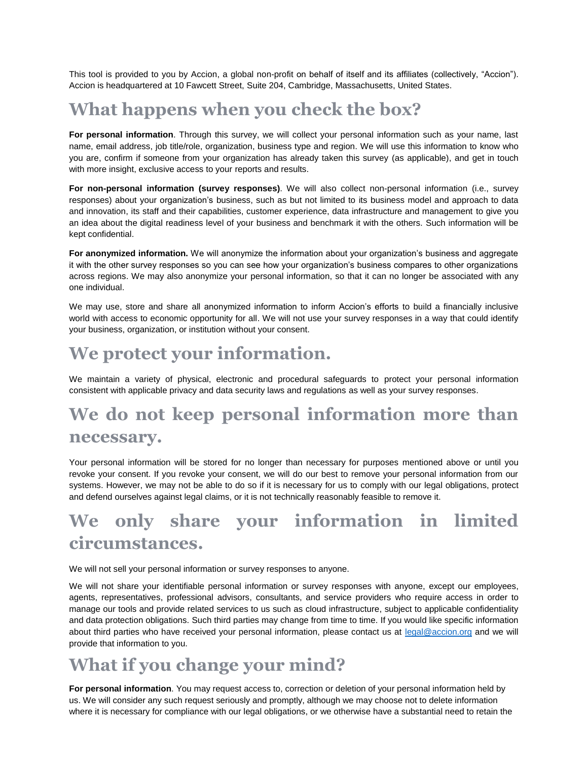This tool is provided to you by Accion, a global non-profit on behalf of itself and its affiliates (collectively, "Accion"). Accion is headquartered at 10 Fawcett Street, Suite 204, Cambridge, Massachusetts, United States.

## **What happens when you check the box?**

**For personal information**. Through this survey, we will collect your personal information such as your name, last name, email address, job title/role, organization, business type and region. We will use this information to know who you are, confirm if someone from your organization has already taken this survey (as applicable), and get in touch with more insight, exclusive access to your reports and results.

**For non-personal information (survey responses)**. We will also collect non-personal information (i.e., survey responses) about your organization's business, such as but not limited to its business model and approach to data and innovation, its staff and their capabilities, customer experience, data infrastructure and management to give you an idea about the digital readiness level of your business and benchmark it with the others. Such information will be kept confidential.

**For anonymized information.** We will anonymize the information about your organization's business and aggregate it with the other survey responses so you can see how your organization's business compares to other organizations across regions. We may also anonymize your personal information, so that it can no longer be associated with any one individual.

We may use, store and share all anonymized information to inform Accion's efforts to build a financially inclusive world with access to economic opportunity for all. We will not use your survey responses in a way that could identify your business, organization, or institution without your consent.

## **We protect your information.**

We maintain a variety of physical, electronic and procedural safeguards to protect your personal information consistent with applicable privacy and data security laws and regulations as well as your survey responses.

## **We do not keep personal information more than necessary.**

Your personal information will be stored for no longer than necessary for purposes mentioned above or until you revoke your consent. If you revoke your consent, we will do our best to remove your personal information from our systems. However, we may not be able to do so if it is necessary for us to comply with our legal obligations, protect and defend ourselves against legal claims, or it is not technically reasonably feasible to remove it.

# **We only share your information in limited circumstances.**

We will not sell your personal information or survey responses to anyone.

We will not share your identifiable personal information or survey responses with anyone, except our employees, agents, representatives, professional advisors, consultants, and service providers who require access in order to manage our tools and provide related services to us such as cloud infrastructure, subject to applicable confidentiality and data protection obligations. Such third parties may change from time to time. If you would like specific information about third parties who have received your personal information, please contact us at [legal@accion.org](mailto:legal@accion.org) and we will provide that information to you.

## **What if you change your mind?**

**For personal information**. You may request access to, correction or deletion of your personal information held by us. We will consider any such request seriously and promptly, although we may choose not to delete information where it is necessary for compliance with our legal obligations, or we otherwise have a substantial need to retain the